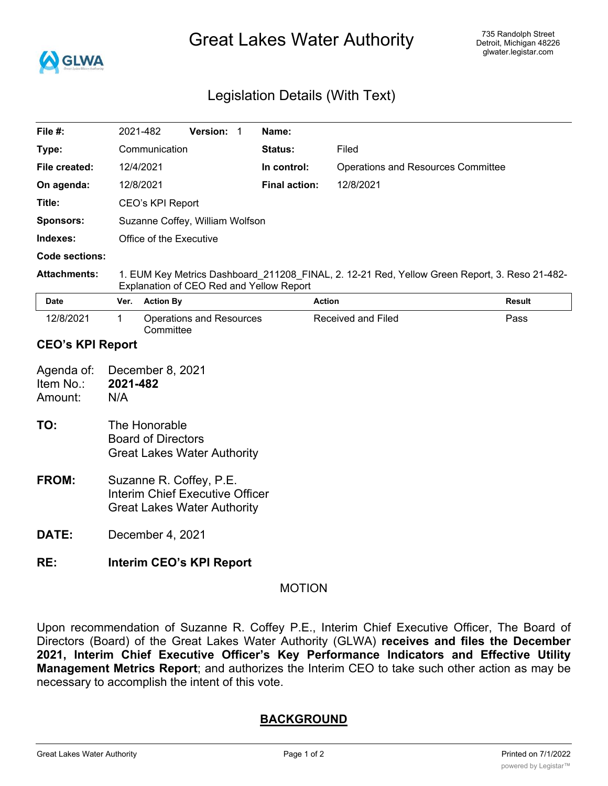

# Great Lakes Water Authority

# Legislation Details (With Text)

| File $#$ :                         |                                                                                                                                           | 2021-482                                                                                                | Version: 1 |  | Name:                |                           |                                    |      |  |
|------------------------------------|-------------------------------------------------------------------------------------------------------------------------------------------|---------------------------------------------------------------------------------------------------------|------------|--|----------------------|---------------------------|------------------------------------|------|--|
| Type:                              |                                                                                                                                           | Communication                                                                                           |            |  | <b>Status:</b>       | Filed                     |                                    |      |  |
| File created:                      |                                                                                                                                           | 12/4/2021                                                                                               |            |  | In control:          |                           | Operations and Resources Committee |      |  |
| On agenda:                         |                                                                                                                                           | 12/8/2021                                                                                               |            |  | <b>Final action:</b> | 12/8/2021                 |                                    |      |  |
| Title:                             |                                                                                                                                           | CEO's KPI Report                                                                                        |            |  |                      |                           |                                    |      |  |
| <b>Sponsors:</b>                   |                                                                                                                                           | Suzanne Coffey, William Wolfson                                                                         |            |  |                      |                           |                                    |      |  |
| Indexes:                           |                                                                                                                                           | Office of the Executive                                                                                 |            |  |                      |                           |                                    |      |  |
| Code sections:                     |                                                                                                                                           |                                                                                                         |            |  |                      |                           |                                    |      |  |
| <b>Attachments:</b>                | 1. EUM Key Metrics Dashboard_211208_FINAL, 2. 12-21 Red, Yellow Green Report, 3. Reso 21-482-<br>Explanation of CEO Red and Yellow Report |                                                                                                         |            |  |                      |                           |                                    |      |  |
| <b>Date</b>                        | Ver.                                                                                                                                      | <b>Action By</b>                                                                                        |            |  | <b>Action</b>        |                           | <b>Result</b>                      |      |  |
| 12/8/2021                          | 1                                                                                                                                         | <b>Operations and Resources</b><br>Committee                                                            |            |  |                      | <b>Received and Filed</b> |                                    | Pass |  |
| <b>CEO's KPI Report</b>            |                                                                                                                                           |                                                                                                         |            |  |                      |                           |                                    |      |  |
| Agenda of:<br>Item No.:<br>Amount: | December 8, 2021<br>2021-482<br>N/A                                                                                                       |                                                                                                         |            |  |                      |                           |                                    |      |  |
| TO:                                | The Honorable<br><b>Board of Directors</b><br><b>Great Lakes Water Authority</b>                                                          |                                                                                                         |            |  |                      |                           |                                    |      |  |
| FROM:                              |                                                                                                                                           | Suzanne R. Coffey, P.E.<br><b>Interim Chief Executive Officer</b><br><b>Great Lakes Water Authority</b> |            |  |                      |                           |                                    |      |  |
| DATE:                              | December 4, 2021                                                                                                                          |                                                                                                         |            |  |                      |                           |                                    |      |  |

## **RE: Interim CEO's KPI Report**

#### MOTION

Upon recommendation of Suzanne R. Coffey P.E., Interim Chief Executive Officer, The Board of Directors (Board) of the Great Lakes Water Authority (GLWA) **receives and files the December 2021, Interim Chief Executive Officer's Key Performance Indicators and Effective Utility Management Metrics Report**; and authorizes the Interim CEO to take such other action as may be necessary to accomplish the intent of this vote.

### **BACKGROUND**